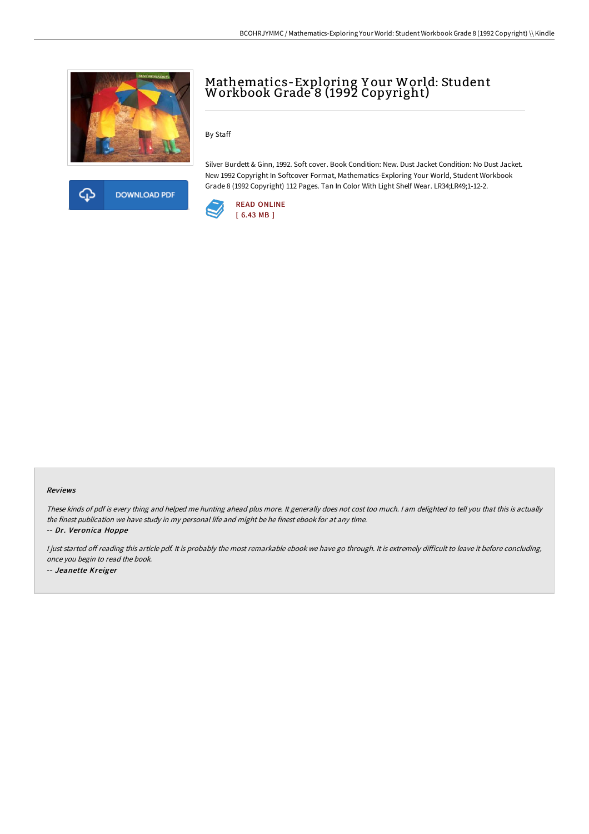



# Mathematics-Exploring Y our World: Student Workbook Grade 8 (1992 Copyright)

By Staff

Silver Burdett & Ginn, 1992. Soft cover. Book Condition: New. Dust Jacket Condition: No Dust Jacket. New 1992 Copyright In Softcover Format, Mathematics-Exploring Your World, Student Workbook Grade 8 (1992 Copyright) 112 Pages. Tan In Color With Light Shelf Wear. LR34;LR49;1-12-2.



### Reviews

These kinds of pdf is every thing and helped me hunting ahead plus more. It generally does not cost too much. <sup>I</sup> am delighted to tell you that this is actually the finest publication we have study in my personal life and might be he finest ebook for at any time.

-- Dr. Veronica Hoppe

I just started off reading this article pdf. It is probably the most remarkable ebook we have go through. It is extremely difficult to leave it before concluding, once you begin to read the book. -- Jeanette Kreiger